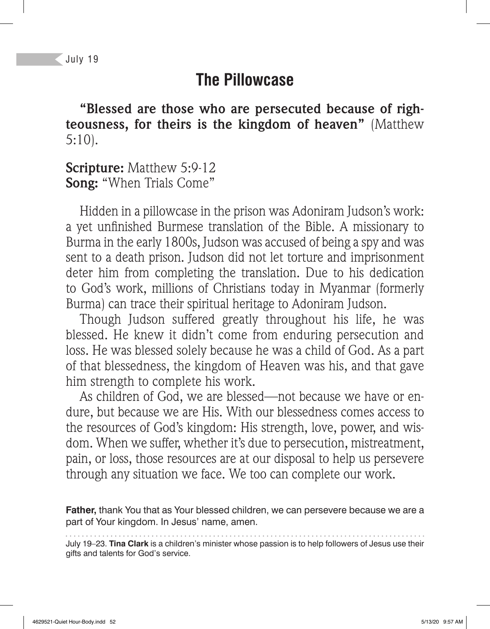#### **The Pillowcase**

**"Blessed are those who are persecuted because of righteousness, for theirs is the kingdom of heaven"** (Matthew 5:10).

**Scripture:** Matthew 5:9-12 **Song:** "When Trials Come"

Hidden in a pillowcase in the prison was Adoniram Judson's work: a yet unfinished Burmese translation of the Bible. A missionary to Burma in the early 1800s, Judson was accused of being a spy and was sent to a death prison. Judson did not let torture and imprisonment deter him from completing the translation. Due to his dedication to God's work, millions of Christians today in Myanmar (formerly Burma) can trace their spiritual heritage to Adoniram Judson.

Though Judson suffered greatly throughout his life, he was blessed. He knew it didn't come from enduring persecution and loss. He was blessed solely because he was a child of God. As a part of that blessedness, the kingdom of Heaven was his, and that gave him strength to complete his work.

As children of God, we are blessed—not because we have or endure, but because we are His. With our blessedness comes access to the resources of God's kingdom: His strength, love, power, and wisdom. When we suffer, whether it's due to persecution, mistreatment, pain, or loss, those resources are at our disposal to help us persevere through any situation we face. We too can complete our work.

**Father,** thank You that as Your blessed children, we can persevere because we are a part of Your kingdom. In Jesus' name, amen.

July 19–23. **Tina Clark** is a children's minister whose passion is to help followers of Jesus use their gifts and talents for God's service.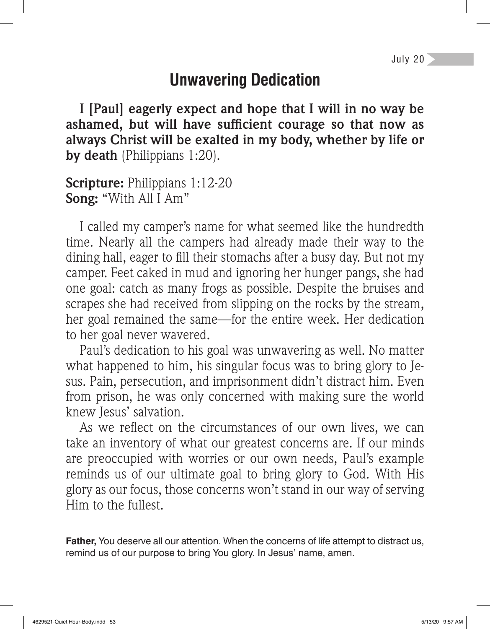## **Unwavering Dedication**

**I [Paul] eagerly expect and hope that I will in no way be**  ashamed, but will have sufficient courage so that now as **always Christ will be exalted in my body, whether by life or by death** (Philippians 1:20).

**Scripture:** Philippians 1:12-20 **Song:** "With All I Am"

I called my camper's name for what seemed like the hundredth time. Nearly all the campers had already made their way to the dining hall, eager to fill their stomachs after a busy day. But not my camper. Feet caked in mud and ignoring her hunger pangs, she had one goal: catch as many frogs as possible. Despite the bruises and scrapes she had received from slipping on the rocks by the stream, her goal remained the same—for the entire week. Her dedication to her goal never wavered.

Paul's dedication to his goal was unwavering as well. No matter what happened to him, his singular focus was to bring glory to Jesus. Pain, persecution, and imprisonment didn't distract him. Even from prison, he was only concerned with making sure the world knew Jesus' salvation.

As we reflect on the circumstances of our own lives, we can take an inventory of what our greatest concerns are. If our minds are preoccupied with worries or our own needs, Paul's example reminds us of our ultimate goal to bring glory to God. With His glory as our focus, those concerns won't stand in our way of serving Him to the fullest.

**Father,** You deserve all our attention. When the concerns of life attempt to distract us, remind us of our purpose to bring You glory. In Jesus' name, amen.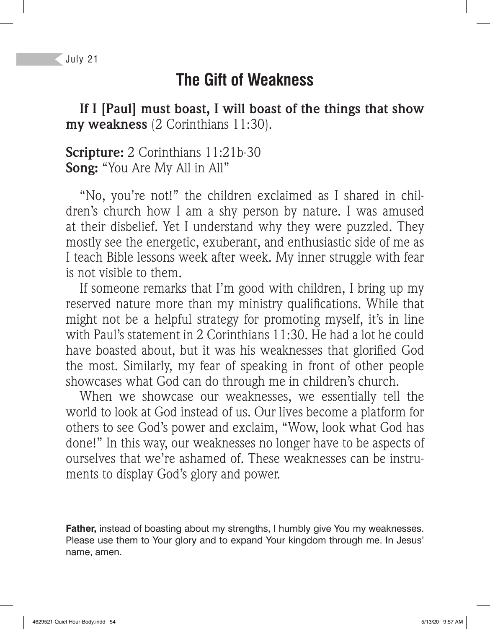# **The Gift of Weakness**

**If I [Paul] must boast, I will boast of the things that show my weakness** (2 Corinthians 11:30).

#### **Scripture:** 2 Corinthians 11:21b-30 **Song:** "You Are My All in All"

"No, you're not!" the children exclaimed as I shared in children's church how I am a shy person by nature. I was amused at their disbelief. Yet I understand why they were puzzled. They mostly see the energetic, exuberant, and enthusiastic side of me as I teach Bible lessons week after week. My inner struggle with fear is not visible to them.

If someone remarks that I'm good with children, I bring up my reserved nature more than my ministry qualifications. While that might not be a helpful strategy for promoting myself, it's in line with Paul's statement in 2 Corinthians 11:30. He had a lot he could have boasted about, but it was his weaknesses that glorified God the most. Similarly, my fear of speaking in front of other people showcases what God can do through me in children's church.

When we showcase our weaknesses, we essentially tell the world to look at God instead of us. Our lives become a platform for others to see God's power and exclaim, "Wow, look what God has done!" In this way, our weaknesses no longer have to be aspects of ourselves that we're ashamed of. These weaknesses can be instruments to display God's glory and power.

**Father,** instead of boasting about my strengths, I humbly give You my weaknesses. Please use them to Your glory and to expand Your kingdom through me. In Jesus' name, amen.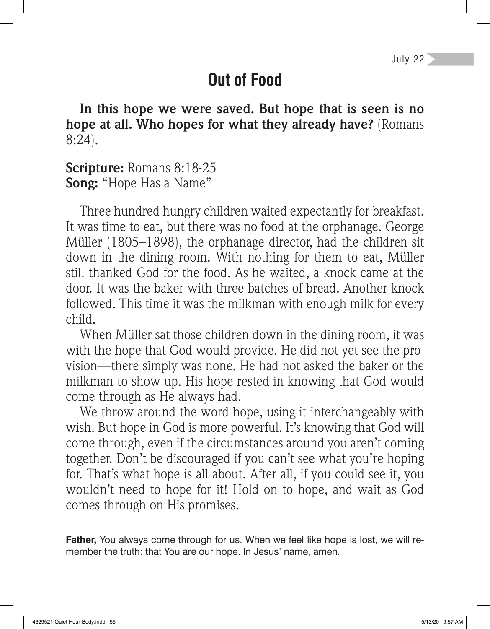## **Out of Food**

**In this hope we were saved. But hope that is seen is no hope at all. Who hopes for what they already have?** (Romans 8:24).

**Scripture:** Romans 8:18-25 **Song:** "Hope Has a Name"

Three hundred hungry children waited expectantly for breakfast. It was time to eat, but there was no food at the orphanage. George Müller (1805–1898), the orphanage director, had the children sit down in the dining room. With nothing for them to eat, Müller still thanked God for the food. As he waited, a knock came at the door. It was the baker with three batches of bread. Another knock followed. This time it was the milkman with enough milk for every child.

When Müller sat those children down in the dining room, it was with the hope that God would provide. He did not yet see the provision—there simply was none. He had not asked the baker or the milkman to show up. His hope rested in knowing that God would come through as He always had.

We throw around the word hope, using it interchangeably with wish. But hope in God is more powerful. It's knowing that God will come through, even if the circumstances around you aren't coming together. Don't be discouraged if you can't see what you're hoping for. That's what hope is all about. After all, if you could see it, you wouldn't need to hope for it! Hold on to hope, and wait as God comes through on His promises.

**Father,** You always come through for us. When we feel like hope is lost, we will remember the truth: that You are our hope. In Jesus' name, amen.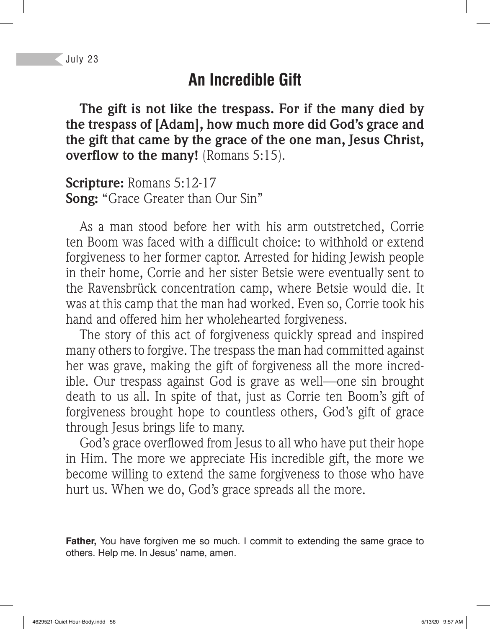#### **An Incredible Gift**

**The gift is not like the trespass. For if the many died by the trespass of [Adam], how much more did God's grace and the gift that came by the grace of the one man, Jesus Christ, overflow to the many!** (Romans 5:15).

**Scripture:** Romans 5:12-17 **Song:** "Grace Greater than Our Sin"

As a man stood before her with his arm outstretched, Corrie ten Boom was faced with a difficult choice: to withhold or extend forgiveness to her former captor. Arrested for hiding Jewish people in their home, Corrie and her sister Betsie were eventually sent to the Ravensbrück concentration camp, where Betsie would die. It was at this camp that the man had worked. Even so, Corrie took his hand and offered him her wholehearted forgiveness.

The story of this act of forgiveness quickly spread and inspired many others to forgive. The trespass the man had committed against her was grave, making the gift of forgiveness all the more incredible. Our trespass against God is grave as well—one sin brought death to us all. In spite of that, just as Corrie ten Boom's gift of forgiveness brought hope to countless others, God's gift of grace through Jesus brings life to many.

God's grace overflowed from Jesus to all who have put their hope in Him. The more we appreciate His incredible gift, the more we become willing to extend the same forgiveness to those who have hurt us. When we do, God's grace spreads all the more.

**Father,** You have forgiven me so much. I commit to extending the same grace to others. Help me. In Jesus' name, amen.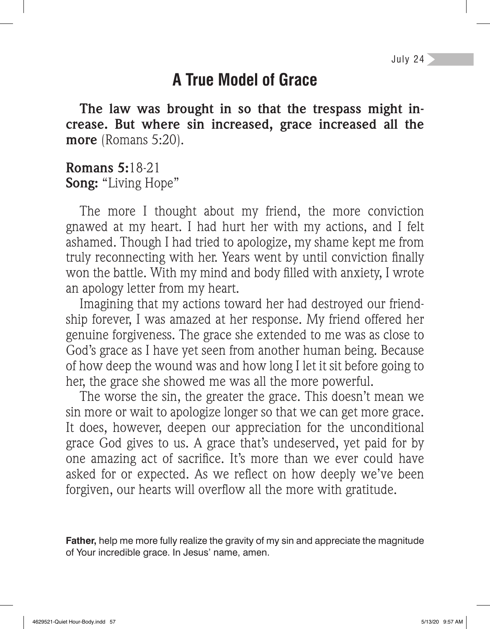## **A True Model of Grace**

**The law was brought in so that the trespass might increase. But where sin increased, grace increased all the more** (Romans 5:20).

#### **Romans 5:**18-21 **Song:** "Living Hope"

The more I thought about my friend, the more conviction gnawed at my heart. I had hurt her with my actions, and I felt ashamed. Though I had tried to apologize, my shame kept me from truly reconnecting with her. Years went by until conviction finally won the battle. With my mind and body filled with anxiety, I wrote an apology letter from my heart.

Imagining that my actions toward her had destroyed our friendship forever, I was amazed at her response. My friend offered her genuine forgiveness. The grace she extended to me was as close to God's grace as I have yet seen from another human being. Because of how deep the wound was and how long I let it sit before going to her, the grace she showed me was all the more powerful.

The worse the sin, the greater the grace. This doesn't mean we sin more or wait to apologize longer so that we can get more grace. It does, however, deepen our appreciation for the unconditional grace God gives to us. A grace that's undeserved, yet paid for by one amazing act of sacrifice. It's more than we ever could have asked for or expected. As we reflect on how deeply we've been forgiven, our hearts will overflow all the more with gratitude.

**Father,** help me more fully realize the gravity of my sin and appreciate the magnitude of Your incredible grace. In Jesus' name, amen.